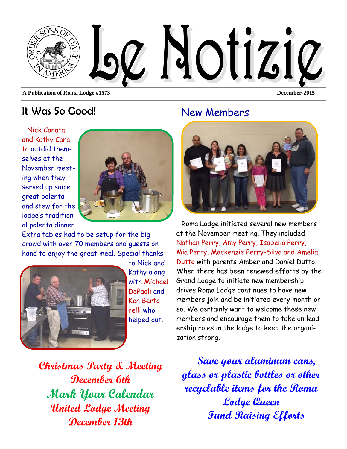

## It Was So Good!

Nick Canata and Kathy Canata outdid themselves at the November meeting when they served up some great polenta and stew for the lodge's traditional polenta dinner.



Extra tables had to be setup for the big crowd with over 70 members and guests on hand to enjoy the great meal. Special thanks



to Nick and Kathy along with Michael DePaoli and Ken Bertorelli who helped out.

**Christmas Party & Meeting December 6th Mark Your Calendar United Lodge Meeting December 13th** 

### New Members



Roma Lodge initiated several new members at the November meeting. They included Nathan Perry, Amy Perry, Isabella Perry, Mia Perry, Mackenzie Perry-Silva and Amelia Dutto with parents Amber and Daniel Dutto. When there has been renewed efforts by the Grand Lodge to initiate new membership drives Roma Lodge continues to have new members join and be initiated every month or so. We certainly want to welcome these new members and encourage them to take on leadership roles in the lodge to keep the organization strong.

**Save your aluminum cans, glass or plastic bottles or other recyclable items for the Roma Lodge Queen Fund Raising Efforts**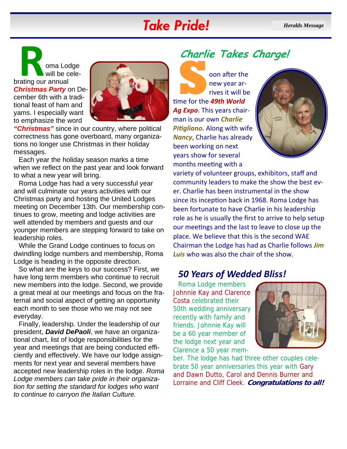# *Take Pride! Heralds Message*

**Roma Lodge<br>
will be cele-<br>
brating our annual** will be cele-*Christmas Party* on December 6th with a traditional feast of ham and yams. I especially want to emphasize the word



*"Christmas"* since in our country, where political correctness has gone overboard, many organizations no longer use Christmas in their holiday messages.

Each year the holiday season marks a time when we reflect on the past year and look forward to what a new year will bring.

Roma Lodge has had a very successful year and will culminate our years activities with our Christmas party and hosting the United Lodges meeting on December 13th. Our membership continues to grow, meeting and lodge activities are well attended by members and guests and our younger members are stepping forward to take on leadership roles.

While the Grand Lodge continues to focus on dwindling lodge numbers and membership, Roma Lodge is heading in the opposite direction.

So what are the keys to our success? First, we have long term members who continue to recruit new members into the lodge. Second, we provide a great meal at our meetings and focus on the fraternal and social aspect of getting an opportunity each month to see those who we may not see everyday.

Finally, leadership. Under the leadership of our president, *David DePaoli*, we have an organizational chart, list of lodge responsibilities for the year and meetings that are being conducted efficiently and effectively. We have our lodge assignments for next year and several members have accepted new leadership roles in the lodge. *Roma Lodge members can take pride in their organization for setting the standard for lodges who want to continue to carryon the Italian Culture.* 

# **Charlie Takes Charge!**

**S** oon after the new year arrives it will be time for the *49th World* new year ar‐ rives it will be *Ag Expo*. This years chair‐ man is our own *Charlie Pitialiano.* Along with wife *Nancy*, Charlie has already been working on next years show for several months meeting with a



variety of volunteer groups, exhibitors, staff and community leaders to make the show the best ev‐ er. Charlie has been instrumental in the show since its inception back in 1968. Roma Lodge has been fortunate to have Charlie in his leadership role as he is usually the first to arrive to help setup our meetings and the last to leave to close up the place. We believe that this is the second WAE Chairman the Lodge has had as Charlie follows *Jim Luis* who was also the chair of the show.

### *50 Years of Wedded Bliss!*

Roma Lodge members Johnnie Kay and Clarence Costa celebrated their 50th wedding anniversary recently with family and friends. Johnnie Kay will be a 60 year member of the lodge next year and Clarence a 50 year mem-



ber. The lodge has had three other couples celebrate 50 year anniversaries this year with Gary and Dawn Dutto, Carol and Dennis Burner and Lorraine and Cliff Cleek. **Congratulations to all!**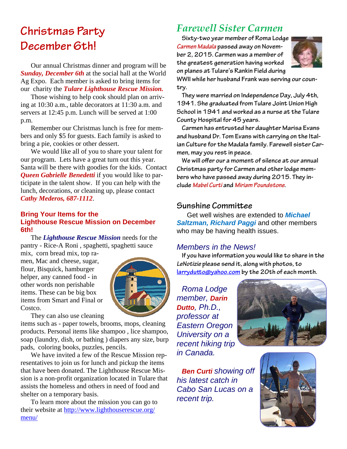# **Christmas Party December 6th!**

Our annual Christmas dinner and program will be *Sunday, December 6th* at the social hall at the World Ag Expo. Each member is asked to bring items for our charity the *Tulare Lighthouse Rescue Mission.* 

Those wishing to help cook should plan on arriving at 10:30 a.m., table decorators at 11:30 a.m. and servers at 12:45 p.m. Lunch will be served at 1:00 p.m.

Remember our Christmas lunch is free for members and only \$5 for guests. Each family is asked to bring a pie, cookies or other dessert.

We would like all of you to share your talent for our program. Lets have a great turn out this year. Santa will be there with goodies for the kids. Contact *Queen Gabrielle Benedetti* if you would like to participate in the talent show. If you can help with the lunch, decorations, or cleaning up, please contact *Cathy Mederos, 687-1112*.

#### **Bring Your Items for the Lighthouse Rescue Mission on December 6th!**

The *Lighthouse Rescue Mission* needs for the pantry - Rice-A Roni , spaghetti, spaghetti sauce

mix, corn bread mix, top ramen, Mac and cheese, sugar, flour, Bisquick, hamburger helper, any canned food - in other words non perishable items. These can be big box items from Smart and Final or Costco.



They can also use cleaning

items such as - paper towels, brooms, mops, cleaning products. Personal items like shampoo , lice shampoo, soap (laundry, dish, or bathing ) diapers any size, burp pads, coloring books, puzzles, pencils.

We have invited a few of the Rescue Mission representatives to join us for lunch and pickup the items that have been donated. The Lighthouse Rescue Mission is a non-profit organization located in Tulare that assists the homeless and others in need of food and shelter on a temporary basis.

To learn more about the mission you can go to their website at http://www.lighthouserescue.org/ menu/

### *Farewell Sister Carmen*

**Sixty-two year member of Roma Lodge**  *Carmen Madala* **passed away on November 2, 2015. Carmen was a member of the greatest generation having worked on planes at Tulare's Rankin Field during** 



**WWII while her husband Frank was serving our country.** 

**They were married on Independence Day, July 4th, 1941. She graduated from Tulare Joint Union High School in 1941 and worked as a nurse at the Tulare County Hospital for 45 years.** 

**Carmen has entrusted her daughter Marisa Evans and husband Dr. Tom Evans with carrying on the Italian Culture for the Madala family. Farewell sister Carmen, may you rest in peace.** 

**We will offer our a moment of silence at our annual Christmas party for Carmen and other lodge members who have passed away during 2015. They include** *Mabel Curti* **and** *Miriam Poundstone***.** 

#### **Sunshine Committee**

Get well wishes are extended to *Michael Saltzman, Richard Paggi* and other members who may be having health issues.

#### *Members in the News!*

**If you have information you would like to share in the**  *LeNotizie* **please send it, along with photos, to larrydutto@yahoo.com by the 20th of each month.** 

*Roma Lodge member, Darin Dutto, Ph.D., professor at Eastern Oregon University on a recent hiking trip in Canada.* 



*Ben Curti showing off his latest catch in Cabo San Lucas on a recent trip.*